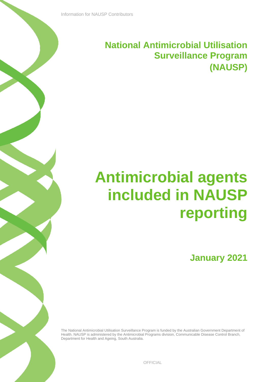## **National Antimicrobial Utilisation Surveillance Program (NAUSP)**

# **Antimicrobial agents included in NAUSP reporting**

**January 2021**

The National Antimicrobial Utilisation Surveillance Program is funded by the Australian Government Department of Health. NAUSP is administered by the Antimicrobial Programs division, Communicable Disease Control Branch, Department for Health and Ageing, South Australia.

OFFICIAL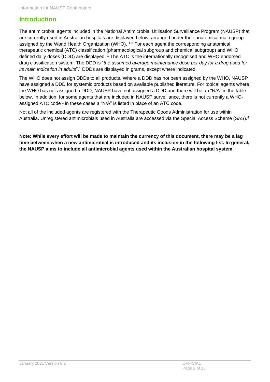#### **Introduction**

The antimicrobial agents included in the National Antimicrobial Utilisation Surveillance Program (NAUSP) that are currently used in Australian hospitals are displayed below, arranged under their anatomical main group assigned by the World Health Organization (WHO). <sup>1-3</sup> For each agent the corresponding anatomical therapeutic chemical (ATC) classification (pharmacological subgroup and chemical subgroup) and WHO defined daily doses (DDD) are displayed. <sup>1</sup> The ATC is the internationally recognised and WHO endorsed drug classification system. The DDD is "*the assumed average maintenance dose per day for a drug used for its main indication in adults*".<sup>1</sup> DDDs are displayed in grams, except where indicated.

The WHO does not assign DDDs to all products. Where a DDD has not been assigned by the WHO, NAUSP have assigned a DDD for systemic products based on available published literature. For topical agents where the WHO has not assigned a DDD, NAUSP have not assigned a DDD and there will be an "N/A" in the table below. In addition, for some agents that are included in NAUSP surveillance, there is not currently a WHOassigned ATC code - in these cases a "N/A" is listed in place of an ATC code.

Not all of the included agents are registered with the Therapeutic Goods Administration for use within Australia. Unregistered antimicrobials used in Australia are accessed via the Special Access Scheme (SAS).<sup>4</sup>

**Note: While every effort will be made to maintain the currency of this document, there may be a lag time between when a new antimicrobial is introduced and its inclusion in the following list. In general, the NAUSP aims to include all antimicrobial agents used within the Australian hospital system**.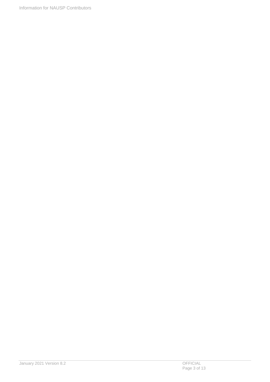Information for NAUSP Contributors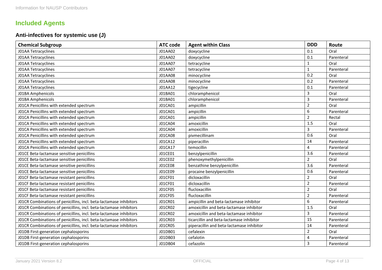### **Included Agents**

### **Anti-infectives for systemic use (J)**

| <b>Chemical Subgroup</b>                                           | <b>ATC code</b> | <b>Agent within Class</b>                 | <b>DDD</b>              | Route      |
|--------------------------------------------------------------------|-----------------|-------------------------------------------|-------------------------|------------|
| J01AA Tetracyclines                                                | J01AA02         | doxycycline                               | 0.1                     | Oral       |
| J01AA Tetracyclines                                                | J01AA02         | doxycycline                               | 0.1                     | Parenteral |
| J01AA Tetracyclines                                                | J01AA07         | tetracycline                              | $\mathbf{1}$            | Oral       |
| J01AA Tetracyclines                                                | J01AA07         | tetracycline                              | $\mathbf{1}$            | Parenteral |
| J01AA Tetracyclines                                                | J01AA08         | minocycline                               | 0.2                     | Oral       |
| J01AA Tetracyclines                                                | J01AA08         | minocycline                               | 0.2                     | Parenteral |
| J01AA Tetracyclines                                                | J01AA12         | tigecycline                               | 0.1                     | Parenteral |
| J01BA Amphenicols                                                  | J01BA01         | chloramphenicol                           | $\overline{3}$          | Oral       |
| J01BA Amphenicols                                                  | J01BA01         | chloramphenicol                           | $\overline{\mathbf{3}}$ | Parenteral |
| J01CA Penicillins with extended spectrum                           | J01CA01         | ampicillin                                | $\overline{2}$          | Oral       |
| JO1CA Penicillins with extended spectrum                           | J01CA01         | ampicillin                                | $\boldsymbol{6}$        | Parenteral |
| JO1CA Penicillins with extended spectrum                           | J01CA01         | ampicillin                                | $\overline{2}$          | Rectal     |
| J01CA Penicillins with extended spectrum                           | J01CA04         | amoxicillin                               | 1.5                     | Oral       |
| J01CA Penicillins with extended spectrum                           | J01CA04         | amoxicillin                               | $\overline{3}$          | Parenteral |
| JO1CA Penicillins with extended spectrum                           | J01CA08         | pivmecillinam                             | 0.6                     | Oral       |
| JO1CA Penicillins with extended spectrum                           | J01CA12         | piperacillin                              | 14                      | Parenteral |
| JO1CA Penicillins with extended spectrum                           | J01CA17         | temocillin                                | $\overline{4}$          | Parenteral |
| JO1CE Beta-lactamase sensitive penicillins                         | J01CE01         | benzylpenicillin                          | 3.6                     | Parenteral |
| JO1CE Beta-lactamase sensitive penicillins                         | J01CE02         | phenoxymethylpenicillin                   | $\overline{2}$          | Oral       |
| JO1CE Beta-lactamase sensitive penicillins                         | J01CE08         | benzathine benzylpenicillin               | 3.6                     | Parenteral |
| JO1CE Beta-lactamase sensitive penicillins                         | J01CE09         | procaine benzylpenicillin                 | 0.6                     | Parenteral |
| JO1CF Beta-lactamase resistant penicillins                         | J01CF01         | dicloxacillin                             | $\overline{2}$          | Oral       |
| JO1CF Beta-lactamase resistant penicillins                         | J01CF01         | dicloxacillin                             | $\overline{2}$          | Parenteral |
| JO1CF Beta-lactamase resistant penicillins                         | J01CF05         | flucloxacillin                            | $\overline{2}$          | Oral       |
| JO1CF Beta-lactamase resistant penicillins                         | J01CF05         | flucloxacillin                            | $\overline{2}$          | Parenteral |
| J01CR Combinations of penicillins, incl. beta-lactamase inhibitors | J01CR01         | ampicillin and beta-lactamase inhibitor   | 6                       | Parenteral |
| JO1CR Combinations of penicillins, incl. beta-lactamase inhibitors | J01CR02         | amoxicillin and beta-lactamase inhibitor  | 1.5                     | Oral       |
| J01CR Combinations of penicillins, incl. beta-lactamase inhibitors | J01CR02         | amoxicillin and beta-lactamase inhibitor  | $\overline{3}$          | Parenteral |
| JO1CR Combinations of penicillins, incl. beta-lactamase inhibitors | J01CR03         | ticarcillin and beta-lactamase inhibitor  | 15                      | Parenteral |
| J01CR Combinations of penicillins, incl. beta-lactamase inhibitors | J01CR05         | piperacillin and beta-lactamase inhibitor | 14                      | Parenteral |
| J01DB First-generation cephalosporins                              | J01DB01         | cefalexin                                 | $\overline{2}$          | Oral       |
| J01DB First-generation cephalosporins                              | J01DB03         | cefalotin                                 | $\overline{4}$          | Parenteral |
| J01DB First-generation cephalosporins                              | J01DB04         | cefazolin                                 | $\overline{3}$          | Parenteral |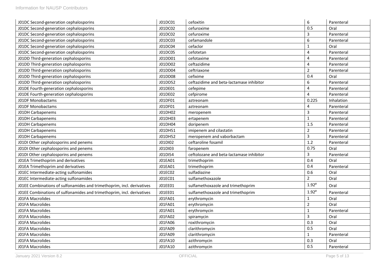| J01DC Second-generation cephalosporins                                 | J01DC01 | cefoxitin                                | 6                   | Parenteral |
|------------------------------------------------------------------------|---------|------------------------------------------|---------------------|------------|
| J01DC Second-generation cephalosporins                                 | J01DC02 | cefuroxime                               | 0.5                 | Oral       |
| J01DC Second-generation cephalosporins                                 | J01DC02 | cefuroxime                               | 3                   | Parenteral |
| J01DC Second-generation cephalosporins                                 | J01DC03 | cefamandole                              | 6                   | Parenteral |
| J01DC Second-generation cephalosporins                                 | J01DC04 | cefaclor                                 | $\mathbf{1}$        | Oral       |
| J01DC Second-generation cephalosporins                                 | J01DC05 | cefotetan                                | 4                   | Parenteral |
| J01DD Third-generation cephalosporins                                  | J01DD01 | cefotaxime                               | 4                   | Parenteral |
| J01DD Third-generation cephalosporins                                  | J01DD02 | ceftazidime                              | 4                   | Parenteral |
| J01DD Third-generation cephalosporins                                  | J01DD04 | ceftriaxone                              | $\overline{2}$      | Parenteral |
| J01DD Third-generation cephalosporins                                  | J01DD08 | cefixime                                 | 0.4                 | Oral       |
| J01DD Third-generation cephalosporins                                  | J01DD52 | ceftazidime and beta-lactamase inhibitor | 6                   | Parenteral |
| J01DE Fourth-generation cephalosporins                                 | J01DE01 | cefepime                                 | 4                   | Parenteral |
| J01DE Fourth-generation cephalosporins                                 | J01DE02 | cefpirome                                | 4                   | Parenteral |
| J01DF Monobactams                                                      | J01DF01 | aztreonam                                | 0.225               | Inhalation |
| J01DF Monobactams                                                      | J01DF01 | aztreonam                                | 4                   | Parenteral |
| J01DH Carbapenems                                                      | J01DH02 | meropenem                                | 3                   | Parenteral |
| J01DH Carbapenems                                                      | J01DH03 | ertapenem                                | $\mathbf{1}$        | Parenteral |
| J01DH Carbapenems                                                      | J01DH04 | doripenem                                | 1.5                 | Parenteral |
| J01DH Carbapenems                                                      | J01DH51 | imipenem and cilastatin                  | $\overline{2}$      | Parenteral |
| J01DH Carbapenems                                                      | J01DH52 | meropenem and vaborbactam                | 3                   | Parenteral |
| J01DI Other cephalosporins and penems                                  | J01DI02 | ceftaroline fosamil                      | 1.2                 | Parenteral |
| J01DI Other cephalosporins and penems                                  | J01DI03 | faropenem                                | 0.75                | Oral       |
| J01DI Other cephalosporins and penems                                  | J01DI54 | ceftolozane and beta-lactamase inhibitor | 3                   | Parenteral |
| J01EA Trimethoprim and derivatives                                     | J01EA01 | trimethoprim                             | 0.4                 | Oral       |
| J01EA Trimethoprim and derivatives                                     | J01EA01 | trimethoprim                             | 0.4                 | Parenteral |
| J01EC Intermediate-acting sulfonamides                                 | J01EC02 | sulfadiazine                             | 0.6                 | Oral       |
| J01EC Intermediate-acting sulfonamides                                 | J01EC01 | sulfamethoxazole                         | $\overline{2}$      | Oral       |
| J01EE Combinations of sulfonamides and trimethoprim, incl. derivatives | J01EE01 | sulfamethoxazole and trimethoprim        | $1.92$ <sup>#</sup> | Oral       |
| J01EE Combinations of sulfonamides and trimethoprim, incl. derivatives | J01EE01 | sulfamethoxazole and trimethoprim        | $1.92*$             | Parenteral |
| J01FA Macrolides                                                       | J01FA01 | erythromycin                             | 1                   | Oral       |
| J01FA Macrolides                                                       | J01FA01 | erythromycin                             | $\overline{2}$      | Oral       |
| J01FA Macrolides                                                       | J01FA01 | erythromycin                             | $\mathbf{1}$        | Parenteral |
| J01FA Macrolides                                                       | J01FA02 | spiramycin                               | 3                   | Oral       |
| J01FA Macrolides                                                       | J01FA06 | roxithromycin                            | 0.3                 | Oral       |
| J01FA Macrolides                                                       | J01FA09 | clarithromycin                           | 0.5                 | Oral       |
| J01FA Macrolides                                                       | J01FA09 | clarithromycin                           | $\mathbf{1}$        | Parenteral |
| J01FA Macrolides                                                       | J01FA10 | azithromycin                             | 0.3                 | Oral       |
| <b>JO1FA Macrolides</b>                                                | J01FA10 | azithromycin                             | 0.5                 | Parenteral |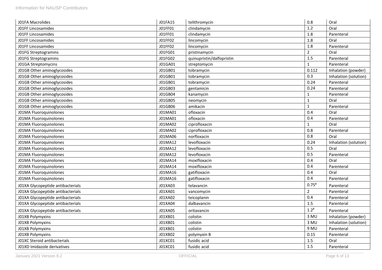| J01FA Macrolides                  | J01FA15 | telithromycin             | 0.8            | Oral                  |
|-----------------------------------|---------|---------------------------|----------------|-----------------------|
| J01FF Lincosamides                | J01FF01 | clindamycin               | 1.2            | Oral                  |
| J01FF Lincosamides                | J01FF01 | clindamycin               | 1.8            | Parenteral            |
| J01FF Lincosamides                | J01FF02 | lincomycin                | 1.8            | Oral                  |
| J01FF Lincosamides                | J01FF02 | lincomycin                | 1.8            | Parenteral            |
| J01FG Streptogramins              | J01FG01 | pristinamycin             | $\overline{2}$ | Oral                  |
| J01FG Streptogramins              | J01FG02 | quinupristin/dalfopristin | 1.5            | Parenteral            |
| J01GA Streptomycins               | J01GA01 | streptomycin              | $\mathbf{1}$   | Parenteral            |
| J01GB Other aminoglycosides       | J01GB01 | tobramycin                | 0.112          | Inhalation (powder)   |
| J01GB Other aminoglycosides       | J01GB01 | tobramycin                | 0.3            | Inhalation (solution) |
| J01GB Other aminoglycosides       | J01GB01 | tobramycin                | 0.24           | Parenteral            |
| J01GB Other aminoglycosides       | J01GB03 | gentamicin                | 0.24           | Parenteral            |
| J01GB Other aminoglycosides       | J01GB04 | kanamycin                 | $\mathbf{1}$   | Parenteral            |
| J01GB Other aminoglycosides       | J01GB05 | neomycin                  | $\mathbf{1}$   | Oral                  |
| J01GB Other aminoglycosides       | J01GB06 | amikacin                  | $\mathbf{1}$   | Parenteral            |
| J01MA Fluoroquinolones            | J01MA01 | ofloxacin                 | 0.4            | Oral                  |
| J01MA Fluoroquinolones            | J01MA01 | ofloxacin                 | 0.4            | Parenteral            |
| J01MA Fluoroquinolones            | J01MA02 | ciprofloxacin             | $\mathbf{1}$   | Oral                  |
| J01MA Fluoroquinolones            | J01MA02 | ciprofloxacin             | 0.8            | Parenteral            |
| J01MA Fluoroquinolones            | J01MA06 | norfloxacin               | 0.8            | Oral                  |
| J01MA Fluoroquinolones            | J01MA12 | levofloxacin              | 0.24           | Inhalation (solution) |
| J01MA Fluoroquinolones            | J01MA12 | levofloxacin              | 0.5            | Oral                  |
| J01MA Fluoroquinolones            | J01MA12 | levofloxacin              | 0.5            | Parenteral            |
| J01MA Fluoroquinolones            | J01MA14 | moxifloxacin              | 0.4            | Oral                  |
| J01MA Fluoroquinolones            | J01MA14 | moxifloxacin              | 0.4            | Parenteral            |
| J01MA Fluoroquinolones            | J01MA16 | gatifloxacin              | 0.4            | Oral                  |
| J01MA Fluoroquinolones            | J01MA16 | gatifloxacin              | 0.4            | Parenteral            |
| J01XA Glycopeptide antibacterials | J01XA03 | telavancin                | $0.75^{#}$     | Parenteral            |
| J01XA Glycopeptide antibacterials | J01XA01 | vancomycin                | $\overline{2}$ | Parenteral            |
| J01XA Glycopeptide antibacterials | J01XA02 | teicoplanin               | 0.4            | Parenteral            |
| J01XA Glycopeptide antibacterials | J01XA04 | dalbavancin               | 1.5            | Parenteral            |
| J01XA Glycopeptide antibacterials | J01XA05 | oritavancin               | $1.2^{#}$      | Parenteral            |
| J01XB Polymyxins                  | J01XB01 | colistin                  | 3 MU           | Inhalation (powder)   |
| J01XB Polymyxins                  | J01XB01 | colistin                  | 3 MU           | Inhalation (solution) |
| J01XB Polymyxins                  | J01XB01 | colistin                  | 9 MU           | Parenteral            |
| J01XB Polymyxins                  | J01XB02 | polymyxin B               | 0.15           | Parenteral            |
| J01XC Steroid antibacterials      | J01XC01 | fusidic acid              | 1.5            | Oral                  |
| J01XD Imidazole derivatives       | J01XC01 | fusidic acid              | 1.5            | Parenteral            |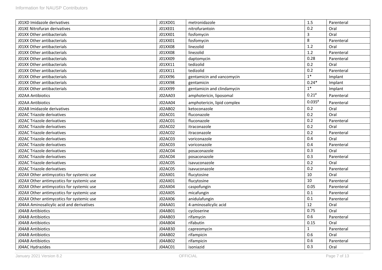| J01XD Imidazole derivatives               | J01XD01        | metronidazole               | 1.5          | Parenteral |
|-------------------------------------------|----------------|-----------------------------|--------------|------------|
| J01XE Nitrofuran derivatives              | J01XE01        | nitrofurantoin              | 0.2          | Oral       |
| J01XX Other antibacterials                | J01XX01        | fosfomycin                  | 3            | Oral       |
| J01XX Other antibacterials                | J01XX01        | fosfomycin                  | 8            | Parenteral |
| J01XX Other antibacterials                | J01XX08        | linezolid                   | 1.2          | Oral       |
| J01XX Other antibacterials                | J01XX08        | linezolid                   | 1.2          | Parenteral |
| J01XX Other antibacterials                | J01XX09        | daptomycin                  | 0.28         | Parenteral |
| J01XX Other antibacterials                | J01XX11        | tedizolid                   | 0.2          | Oral       |
| J01XX Other antibacterials                | J01XX11        | tedizolid                   | 0.2          | Parenteral |
| J01XX Other antibacterials                | J01XX96        | gentamicin and vancomycin   | $1*$         | Implant    |
| J01XX Other antibacterials                | J01XX98        | gentamicin                  | $0.24*$      | Implant    |
| J01XX Other antibacterials                | J01XX99        | gentamicin and clindamycin  | $1^\ast$     | Implant    |
| J02AA Antibiotics                         | J02AA03        | amphotericin, liposomal     | $0.21^{#}$   | Parenteral |
| J02AA Antibiotics                         | J02AA04        | amphotericin, lipid complex | $0.035^{#}$  | Parenteral |
| J02AB Imidazole derivatives               | J02AB02        | ketoconazole                | 0.2          | Oral       |
| J02AC Triazole derivatives                | J02AC01        | fluconazole                 | 0.2          | Oral       |
| J02AC Triazole derivatives                | J02AC01        | fluconazole                 | 0.2          | Parenteral |
| J02AC Triazole derivatives                | J02AC02        | itraconazole                | 0.2          | Oral       |
| J02AC Triazole derivatives                | J02AC02        | itraconazole                | 0.2          | Parenteral |
| J02AC Triazole derivatives                | J02AC03        | voriconazole                | 0.4          | Oral       |
| J02AC Triazole derivatives                | J02AC03        | voriconazole                | 0.4          | Parenteral |
| J02AC Triazole derivatives                | J02AC04        | posaconazole                | 0.3          | Oral       |
| J02AC Triazole derivatives                | J02AC04        | posaconazole                | 0.3          | Parenteral |
| J02AC Triazole derivatives                | <b>JO2AC05</b> | isavuconazole               | 0.2          | Oral       |
| J02AC Triazole derivatives                | <b>JO2AC05</b> | isavuconazole               | 0.2          | Parenteral |
| J02AX Other antimycotics for systemic use | J02AX01        | flucytosine                 | 10           | Oral       |
| J02AX Other antimycotics for systemic use | J02AX01        | flucytosine                 | 10           | Parenteral |
| J02AX Other antimycotics for systemic use | J02AX04        | caspofungin                 | 0.05         | Parenteral |
| J02AX Other antimycotics for systemic use | J02AX05        | micafungin                  | 0.1          | Parenteral |
| J02AX Other antimycotics for systemic use | J02AX06        | anidulafungin               | 0.1          | Parenteral |
| J04AA Aminosalicylic acid and derivatives | J04AA01        | 4-aminosalicylic acid       | 12           | Oral       |
| J04AB Antibiotics                         | J04AB01        | cycloserine                 | 0.75         | Oral       |
| J04AB Antibiotics                         | J04AB03        | rifamycin                   | 0.6          | Parenteral |
| J04AB Antibiotics                         | J04AB04        | rifabutin                   | 0.15         | Oral       |
| J04AB Antibiotics                         | J04AB30        | capreomycin                 | $\mathbf{1}$ | Parenteral |
| J04AB Antibiotics                         | J04AB02        | rifampicin                  | 0.6          | Oral       |
| J04AB Antibiotics                         | J04AB02        | rifampicin                  | 0.6          | Parenteral |
| J04AC Hydrazides                          | J04AC01        | isoniazid                   | 0.3          | Oral       |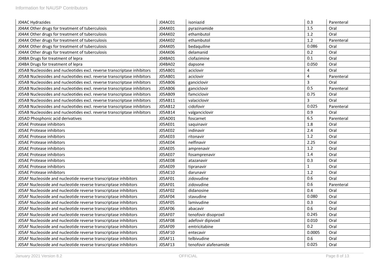| J04AC Hydrazides                                                         | J04AC01        | isoniazid             | 0.3            | Parenteral |
|--------------------------------------------------------------------------|----------------|-----------------------|----------------|------------|
| J04AK Other drugs for treatment of tuberculosis                          | J04AK01        | pyrazinamide          | 1.5            | Oral       |
| J04AK Other drugs for treatment of tuberculosis                          | J04AK02        | ethambutol            | 1.2            | Oral       |
| J04AK Other drugs for treatment of tuberculosis                          | J04AK02        | ethambutol            | 1.2            | Parenteral |
| J04AK Other drugs for treatment of tuberculosis                          | <b>J04AK05</b> | bedaguiline           | 0.086          | Oral       |
| J04AK Other drugs for treatment of tuberculosis                          | <b>J04AK06</b> | delamanid             | 0.2            | Oral       |
| J04BA Drugs for treatment of lepra                                       | J04BA01        | clofazimine           | 0.1            | Oral       |
| J04BA Drugs for treatment of lepra                                       | J04BA02        | dapsone               | 0.050          | Oral       |
| J05AB Nucleosides and nucleotides excl. reverse transcriptase inhibitors | J05AB01        | aciclovir             | 4              | Oral       |
| J05AB Nucleosides and nucleotides excl. reverse transcriptase inhibitors | J05AB01        | aciclovir             | $\overline{4}$ | Parenteral |
| J05AB Nucleosides and nucleotides excl. reverse transcriptase inhibitors | J05AB06        | ganciclovir           | $\overline{3}$ | Oral       |
| J05AB Nucleosides and nucleotides excl. reverse transcriptase inhibitors | J05AB06        | ganciclovir           | 0.5            | Parenteral |
| J05AB Nucleosides and nucleotides excl. reverse transcriptase inhibitors | J05AB09        | famciclovir           | 0.75           | Oral       |
| J05AB Nucleosides and nucleotides excl. reverse transcriptase inhibitors | J05AB11        | valaciclovir          | $\overline{3}$ | Oral       |
| J05AB Nucleosides and nucleotides excl. reverse transcriptase inhibitors | J05AB12        | cidofovir             | 0.025          | Parenteral |
| J05AB Nucleosides and nucleotides excl. reverse transcriptase inhibitors | J05AB14        | valganciclovir        | 0.9            | Oral       |
| J05AD Phosphonic acid derivatives                                        | J05AD01        | foscarnet             | 6.5            | Parenteral |
| JO5AE Protease inhibitors                                                | J05AE01        | saquinavir            | 1.8            | Oral       |
| JO5AE Protease inhibitors                                                | J05AE02        | indinavir             | 2.4            | Oral       |
| JO5AE Protease inhibitors                                                | J05AE03        | ritonavir             | 1.2            | Oral       |
| J05AE Protease inhibitors                                                | <b>JO5AE04</b> | nelfinavir            | 2.25           | Oral       |
| J05AE Protease inhibitors                                                | J05AE05        | amprenavir            | 1.2            | Oral       |
| J05AE Protease inhibitors                                                | J05AE07        | fosamprenavir         | 1.4            | Oral       |
| J05AE Protease inhibitors                                                | <b>JO5AE08</b> | atazanavir            | 0.3            | Oral       |
| J05AE Protease inhibitors                                                | J05AE09        | tipranavir            | $\mathbf{1}$   | Oral       |
| J05AE Protease inhibitors                                                | J05AE10        | darunavir             | 1.2            | Oral       |
| J05AF Nucleoside and nucleotide reverse transcriptase inhibitors         | J05AF01        | zidovudine            | 0.6            | Oral       |
| J05AF Nucleoside and nucleotide reverse transcriptase inhibitors         | J05AF01        | zidovudine            | 0.6            | Parenteral |
| J05AF Nucleoside and nucleotide reverse transcriptase inhibitors         | J05AF02        | didanosine            | 0.4            | Oral       |
| J05AF Nucleoside and nucleotide reverse transcriptase inhibitors         | J05AF04        | stavudine             | 0.080          | Oral       |
| J05AF Nucleoside and nucleotide reverse transcriptase inhibitors         | J05AF05        | lamivudine            | 0.3            | Oral       |
| J05AF Nucleoside and nucleotide reverse transcriptase inhibitors         | J05AF06        | abacavir              | 0.6            | Oral       |
| J05AF Nucleoside and nucleotide reverse transcriptase inhibitors         | J05AF07        | tenofovir disoproxil  | 0.245          | Oral       |
| J05AF Nucleoside and nucleotide reverse transcriptase inhibitors         | <b>J05AF08</b> | adefovir dipivoxil    | 0.010          | Oral       |
| J05AF Nucleoside and nucleotide reverse transcriptase inhibitors         | J05AF09        | emtricitabine         | 0.2            | Oral       |
| J05AF Nucleoside and nucleotide reverse transcriptase inhibitors         | J05AF10        | entecavir             | 0.0005         | Oral       |
| J05AF Nucleoside and nucleotide reverse transcriptase inhibitors         | J05AF11        | telbivudine           | 0.6            | Oral       |
| J05AF Nucleoside and nucleotide reverse transcriptase inhibitors         | J05AF13        | tenofovir alafenamide | 0.025          | Oral       |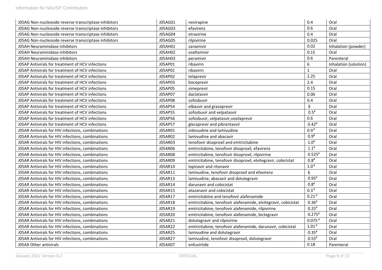| J05AG Non-nucleoside reverse transcriptase inhibitors | J05AG01        | nevirapine                                                     | 0.4                 | Oral                  |
|-------------------------------------------------------|----------------|----------------------------------------------------------------|---------------------|-----------------------|
| J05AG Non-nucleoside reverse transcriptase inhibitors | <b>J05AG03</b> | efavirenz                                                      | 0.6                 | Oral                  |
| J05AG Non-nucleoside reverse transcriptase inhibitors | <b>J05AG04</b> | etravirine                                                     | 0.4                 | Oral                  |
| J05AG Non-nucleoside reverse transcriptase inhibitors | <b>J05AG05</b> | rilpivirine                                                    | 0.025               | Oral                  |
| J05AH Neuraminidase inhibitors                        | J05AH01        | zanamivir                                                      | 0.02                | Inhalation (powder)   |
| J05AH Neuraminidase inhibitors                        | J05AH02        | oseltamivir                                                    | 0.15                | Oral                  |
| J05AH Neuraminidase inhibitors                        | <b>J05AH03</b> | peramivir                                                      | 0.6                 | Parenteral            |
| J05AP Antivirals for treatment of HCV infections      | J05AP01        | ribavirin                                                      | 6                   | Inhalation (solution) |
| J05AP Antivirals for treatment of HCV infections      | J05AP01        | ribavirin                                                      | $\mathbf{1}$        | Oral                  |
| J05AP Antivirals for treatment of HCV infections      | J05AP02        | telaprevir                                                     | 2.25                | Oral                  |
| J05AP Antivirals for treatment of HCV infections      | J05AP03        | boceprevir                                                     | 2.4                 | Oral                  |
| J05AP Antivirals for treatment of HCV infections      | J05AP05        | simeprevir                                                     | 0.15                | Oral                  |
| J05AP Antivirals for treatment of HCV infections      | J05AP07        | daclatasvir                                                    | 0.06                | Oral                  |
| J05AP Antivirals for treatment of HCV infections      | J05AP08        | sofosbuvir                                                     | 0.4                 | Oral                  |
| J05AP Antivirals for treatment of HCV infections      | J05AP54        | elbasvir and grazoprevir                                       | ş                   | Oral                  |
| J05AP Antivirals for treatment of HCV infections      | J05AP55        | sofosbuvir and velpatasvir                                     | $0.5^{#}$           | Oral                  |
| J05AP Antivirals for treatment of HCV infections      | J05AP56        | sofosbuvir, velpatasvir, voxilaprevir                          | 0.6                 | Oral                  |
| J05AP Antivirals for treatment of HCV infections      | J05AP57        | glecaprevir and pibrentasvir                                   | $0.42*$             | Oral                  |
| J05AR Antivirals for HIV infections, combinations     | J05AR01        | zidovudine and lamivudine                                      | $0.9*$              | Oral                  |
| J05AR Antivirals for HIV infections, combinations     | <b>J05AR02</b> | lamivudine and abacavir                                        | $0.9^{#}$           | Oral                  |
| J05AR Antivirals for HIV infections, combinations     | J05AR03        | tenofovir disoproxil and emtricitabine                         | $1.0^{#}$           | Oral                  |
| J05AR Antivirals for HIV infections, combinations     | <b>J05AR06</b> | emtricitabine, tenofovir disoproxil, efavirenz                 | $1.1^{#}$           | Oral                  |
| J05AR Antivirals for HIV infections, combinations     | <b>J05AR08</b> | emtricitabine, tenofovir disoproxil, rilpivirine               | $0.525*$            | Oral                  |
| J05AR Antivirals for HIV infections, combinations     | J05AR09        | emtricitabine, tenofovir disoproxil, elvitegravir, cobicistat  | $0.8^{#}$           | Oral                  |
| J05AR Antivirals for HIV infections, combinations     | J05AR10        | lopinavir and ritonavir                                        | $1.0^{\#}$          | Oral                  |
| J05AR Antivirals for HIV infections, combinations     | J05AR11        | lamivudine, tenofovir disoproxil and efavirenz                 | ş                   | Oral                  |
| J05AR Antivirals for HIV infections, combinations     | J05AR13        | lamivudine, abacavir and dolutegravir                          | $0.95*$             | Oral                  |
| J05AR Antivirals for HIV infections, combinations     | J05AR14        | darunavir and cobicistat                                       | $0.8^{#}$           | Oral                  |
| J05AR Antivirals for HIV infections, combinations     | J05AR15        | atazanavir and cobicistat                                      | $0.3*$              | Oral                  |
| J05AR Antivirals for HIV infections, combinations     | J05AR17        | emtricitabine and tenofovir alafenamide                        | $0.21$ #            | Oral                  |
| J05AR Antivirals for HIV infections, combinations     | J05AR18        | emtricitabine, tenofovir alafenamide, elvitegravir, cobicistat | $0.36^{#}$          | Oral                  |
| J05AR Antivirals for HIV infections, combinations     | J05AR19        | emtricitabine, tenofovir alafenamide, rilpivirine              | $0.25^{#}$          | Oral                  |
| J05AR Antivirals for HIV infections, combinations     | J05AR20        | emtricitabine, tenofovir alafenamide, bictegravir              | $0.275$ #           | Oral                  |
| J05AR Antivirals for HIV infections, combinations     | J05AR21        | dolutegravir and rilpivirine                                   | 0.075               | Oral                  |
| J05AR Antivirals for HIV infections, combinations     | J05AR22        | emtricitabine, tenofovir alafenamide, darunavir, cobicistat    | $1.01$ <sup>#</sup> | Oral                  |
| J05AR Antivirals for HIV infections, combinations     | J05AR25        | lamivudine and dolutegravir                                    | $0.35*$             | Oral                  |
| J05AR Antivirals for HIV infections, combinations     | J05AR27        | lamivudine, tenofovir disoproxil, dolutegravir                 | $0.55$ <sup>#</sup> | Oral                  |
| <b>JO5AX Other antivirals</b>                         | J05AX07        | enfuvirtide                                                    | 0.18                | Parenteral            |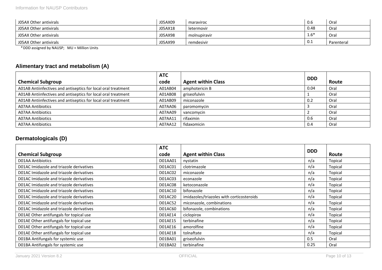| J05AX Other antivirals   | J05AX09 | maraviroc    | 0.6    | Oral       |
|--------------------------|---------|--------------|--------|------------|
| J05AX Other antivirals   | J05AX18 | letermovir   | 0.48   | Oral       |
| l J05AX Other antivirals | J05AX98 | molnupiravir | $1.6*$ | Oral       |
| l J05AX Other antivirals | J05AX99 | remdesivir   | 0.1    | Parenteral |

# DDD assigned by NAUSP; MU = Million Units

#### **Alimentary tract and metabolism (A)**

|                                                               | <b>ATC</b> |                           | <b>DDD</b> |       |
|---------------------------------------------------------------|------------|---------------------------|------------|-------|
| <b>Chemical Subgroup</b>                                      | code       | <b>Agent within Class</b> |            | Route |
| A01AB Antiinfectives and antiseptics for local oral treatment | A01AB04    | amphotericin B            | 0.04       | Oral  |
| A01AB Antiinfectives and antiseptics for local oral treatment | A01AB08    | griseofulvin              |            | Oral  |
| A01AB Antiinfectives and antiseptics for local oral treatment | A01AB09    | miconazole                | 0.2        | Oral  |
| <b>A07AA Antibiotics</b>                                      | A07AA06    | paromomycin               |            | Oral  |
| <b>A07AA Antibiotics</b>                                      | A07AA09    | vancomycin                |            | Oral  |
| <b>A07AA Antibiotics</b>                                      | A07AA11    | rifaximin                 | 0.6        | Oral  |
| <b>A07AA Antibiotics</b>                                      | A07AA12    | fidaxomicin               | 0.4        | Oral  |

#### **Dermatologicals (D)**

|                                          | <b>ATC</b> |                                           |            |         |
|------------------------------------------|------------|-------------------------------------------|------------|---------|
| <b>Chemical Subgroup</b>                 | code       | <b>Agent within Class</b>                 | <b>DDD</b> | Route   |
| <b>D01AA Antibiotics</b>                 | D01AA01    | nystatin                                  | n/a        | Topical |
| D01AC Imidazole and triazole derivatives | D01AC01    | clotrimazole                              | n/a        | Topical |
| D01AC Imidazole and triazole derivatives | D01AC02    | miconazole                                | n/a        | Topical |
| D01AC Imidazole and triazole derivatives | D01AC03    | econazole                                 | n/a        | Topical |
| D01AC Imidazole and triazole derivatives | D01AC08    | ketoconazole                              | n/a        | Topical |
| D01AC Imidazole and triazole derivatives | D01AC10    | bifonazole                                | n/a        | Topical |
| D01AC Imidazole and triazole derivatives | D01AC20    | imidazoles/triazoles with corticosteroids | n/a        | Topical |
| D01AC Imidazole and triazole derivatives | D01AC52    | miconazole, combinations                  | n/a        | Topical |
| D01AC Imidazole and triazole derivatives | D01AC60    | bifonazole, combinations                  | n/a        | Topical |
| D01AE Other antifungals for topical use  | D01AE14    | ciclopirox                                | n/a        | Topical |
| D01AE Other antifungals for topical use  | D01AE15    | terbinafine                               | n/a        | Topical |
| D01AE Other antifungals for topical use  | D01AE16    | amorolfine                                | n/a        | Topical |
| D01AE Other antifungals for topical use  | D01AE18    | tolnaftate                                | n/a        | Topical |
| D01BA Antifungals for systemic use       | D01BA01    | griseofulvin                              | 0.5        | Oral    |
| D01BA Antifungals for systemic use       | D01BA02    | terbinafine                               | 0.25       | Oral    |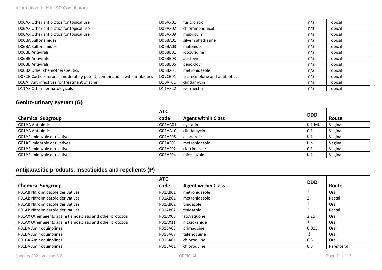| D06AX Other antibiotics for topical use                                 | D06AX01 | fusidic acid                  | n/a | Topical |
|-------------------------------------------------------------------------|---------|-------------------------------|-----|---------|
| D06AX Other antibiotics for topical use                                 | D06AX02 | chloramphenicol               | n/a | Topical |
| D06AX Other antibiotics for topical use                                 | D06AX09 | mupirocin                     | n/a | Topical |
| D06BA Sulfonamides                                                      | D06BA01 | silver sulfadiazine           | n/a | Topical |
| D06BA Sulfonamides                                                      | D06BA03 | mafenide                      | n/a | Topical |
| D06BB Antivirals                                                        | D06BB01 | idoxuridine                   | n/a | Topical |
| <b>DO6BB Antivirals</b>                                                 | D06BB03 | aciclovir                     | n/a | Topical |
| D06BB Antivirals                                                        | D06BB06 | penciclovir                   | n/a | Topical |
| D06BX Other chemotherapeutics                                           | D06BX01 | metronidazole                 | n/a | Topical |
| D07CB Corticosteroids, moderately potent, combinations with antibiotics | D07CB01 | triamcinolone and antibiotics | n/a | Topical |
| D10AF Antiinfectives for treatment of acne                              | D10AF01 | clindamycin                   | n/a | Topical |
| D11AX Other dermatologicals                                             | D11AX22 | ivermectin                    | n/a | Topical |

#### **Genito-urinary system (G)**

|                             | <b>ATC</b> |                           | <b>DDD</b> |         |
|-----------------------------|------------|---------------------------|------------|---------|
| <b>Chemical Subgroup</b>    | code       | <b>Agent within Class</b> |            | Route   |
| <b>G01AA Antibiotics</b>    | G01AA01    | nystatin                  | $0.1$ MU   | Vaginal |
| <b>G01AA Antibiotics</b>    | G01AA10    | clindamycin               | 0.1        | Vaginal |
| G01AF Imidazole derivatives | G01AF05    | econazole                 | 0.1        | Vaginal |
| G01AF Imidazole derivatives | G01AF01    | metronidazole             | 0.5        | Vaginal |
| G01AF Imidazole derivatives | G01AF02    | clotrimazole              | 0.1        | Vaginal |
| G01AF Imidazole derivatives | G01AF04    | miconazole                | 0.1        | Vaginal |

#### **Antiparasitic products, insecticides and repellents (P)**

|                                                          | <b>ATC</b> |                           | <b>DDD</b> |            |
|----------------------------------------------------------|------------|---------------------------|------------|------------|
| <b>Chemical Subgroup</b>                                 | code       | <b>Agent within Class</b> |            | Route      |
| P01AB Nitroimidazole derivatives                         | P01AB01    | metronidazole             |            | Oral       |
| P01AB Nitroimidazole derivatives                         | P01AB01    | metronidazole             |            | Rectal     |
| P01AB Nitroimidazole derivatives                         | P01AB02    | tinidazole                |            | Oral       |
| P01AB Nitroimidazole derivatives                         | P01AB02    | tinidazole                |            | Rectal     |
| P01AX Other agents against amoebiasis and other protozoa | P01AX06    | atovaguone                | 2.25       | Oral       |
| P01AX Other agents against amoebiasis and other protozoa | P01AX11    | nitazoxanide              |            | Oral       |
| P01BA Aminoquinolines                                    | P01BA03    | primaquine                | 0.015      | Oral       |
| P01BA Aminoquinolines                                    | P01BA07    | tafenoquine               | ঽ          | Oral       |
| P01BA Aminoquinolines                                    | P01BA01    | chloroquine               | 0.5        | Oral       |
| P01BA Aminoquinolines                                    | P01BA01    | chloroquine               | 0.5        | Parenteral |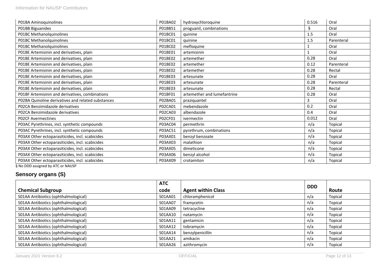| P01BA Aminoquinolines                              | P01BA02 | hydroxychloroquine          | 0.516        | Oral       |
|----------------------------------------------------|---------|-----------------------------|--------------|------------|
| P01BB Biguanides                                   | P01BB51 | proguanil, combinations     | Ş            | Oral       |
| P01BC Methanolquinolines                           | P01BC01 | quinine                     | 1.5          | Oral       |
| P01BC Methanolguinolines                           | P01BC01 | quinine                     | 1.5          | Parenteral |
| P01BC Methanolquinolines                           | P01BC02 | mefloquine                  | 1            | Oral       |
| P01BE Artemisinin and derivatives, plain           | P01BE01 | artemisinin                 | $\mathbf{1}$ | Oral       |
| P01BE Artemisinin and derivatives, plain           | P01BE02 | artemether                  | 0.28         | Oral       |
| P01BE Artemisinin and derivatives, plain           | P01BE02 | artemether                  | 0.12         | Parenteral |
| P01BE Artemisinin and derivatives, plain           | P01BE02 | artemether                  | 0.28         | Rectal     |
| P01BE Artemisinin and derivatives, plain           | P01BE03 | artesunate                  | 0.28         | Oral       |
| P01BE Artemisinin and derivatives, plain           | P01BE03 | artesunate                  | 0.28         | Parenteral |
| P01BE Artemisinin and derivatives, plain           | P01BE03 | artesunate                  | 0.28         | Rectal     |
| P01BF Artemisinin and derivatives, combinations    | P01BF01 | artemether and lumefantrine | 0.28         | Oral       |
| P02BA Quinoline derivatives and related substances | P02BA01 | praziquantel                | 3            | Oral       |
| PO2CA Benzimidazole derivatives                    | P02CA01 | mebendazole                 | 0.2          | Oral       |
| PO2CA Benzimidazole derivatives                    | P02CA03 | albendazole                 | 0.4          | Oral       |
| <b>PO2CF Avermectines</b>                          | P02CF01 | ivermectin                  | 0.012        | Oral       |
| P03AC Pyrethrines, incl. synthetic compounds       | P03AC04 | permethrin                  | n/a          | Topical    |
| P03AC Pyrethrines, incl. synthetic compounds       | P03AC51 | pyrethrum, combinations     | n/a          | Topical    |
| P03AX Other ectoparasiticides, incl. scabicides    | P03AX01 | benzyl benzoate             | n/a          | Topical    |
| P03AX Other ectoparasiticides, incl. scabicides    | P03AX03 | malathion                   | n/a          | Topical    |
| P03AX Other ectoparasiticides, incl. scabicides    | P03AX05 | dimeticone                  | n/a          | Topical    |
| P03AX Other ectoparasiticides, incl. scabicides    | P03AX06 | benzyl alcohol              | n/a          | Topical    |
| P03AX Other ectoparasiticides, incl. scabicides    | P03AX09 | crotamiton                  | n/a          | Topical    |

§ No DDD assigned by ATC or NAUSP

### **Sensory organs (S)**

| <b>Chemical Subgroup</b>             | <b>ATC</b><br>code | <b>Agent within Class</b> | <b>DDD</b> | Route   |
|--------------------------------------|--------------------|---------------------------|------------|---------|
| S01AA Antibiotics (ophthalmological) | S01AA01            | chloramphenicol           | n/a        | Topical |
| S01AA Antibiotics (ophthalmological) | S01AA07            | framycetin                | n/a        | Topical |
| S01AA Antibiotics (ophthalmological) | S01AA09            | tetracycline              | n/a        | Topical |
| S01AA Antibiotics (ophthalmological) | S01AA10            | natamycin                 | n/a        | Topical |
| S01AA Antibiotics (ophthalmological) | S01AA11            | gentamicin                | n/a        | Topical |
| S01AA Antibiotics (ophthalmological) | S01AA12            | tobramycin                | n/a        | Topical |
| S01AA Antibiotics (ophthalmological) | S01AA14            | benzylpenicillin          | n/a        | Topical |
| S01AA Antibiotics (ophthalmological) | S01AA21            | amikacin                  | n/a        | Topical |
| S01AA Antibiotics (ophthalmological) | S01AA26            | azithromycin              | n/a        | Topical |